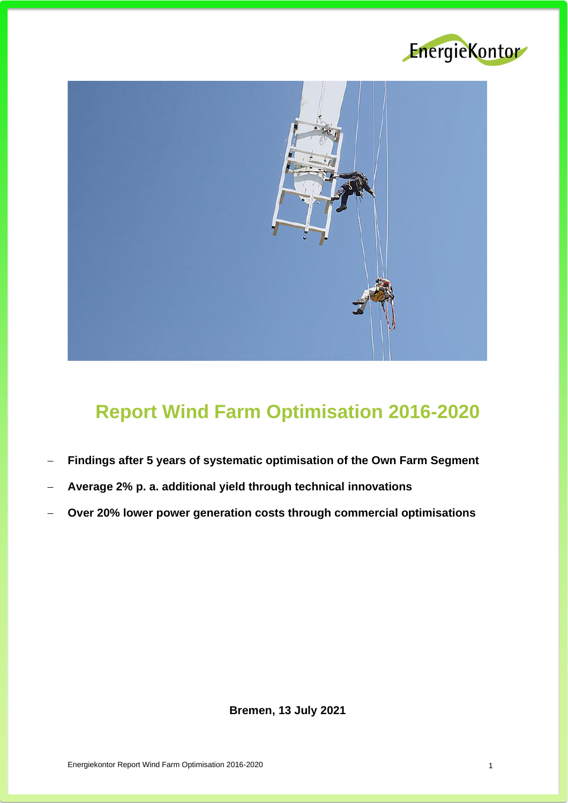



# **Report Wind Farm Optimisation 2016-2020**

- − **Findings after 5 years of systematic optimisation of the Own Farm Segment**
- − **Average 2% p. a. additional yield through technical innovations**
- − **Over 20% lower power generation costs through commercial optimisations**

**Bremen, 13 July 2021**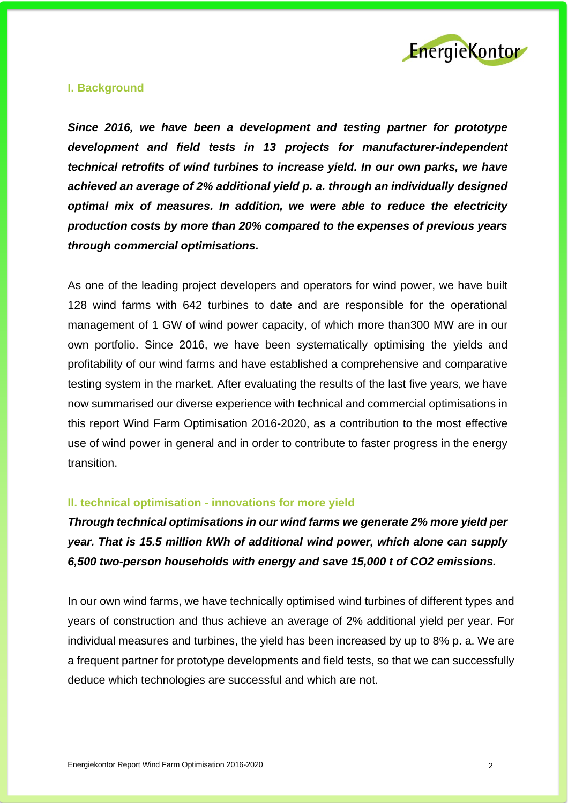

## **I. Background**

*Since 2016, we have been a development and testing partner for prototype development and field tests in 13 projects for manufacturer-independent technical retrofits of wind turbines to increase yield. In our own parks, we have achieved an average of 2% additional yield p. a. through an individually designed optimal mix of measures. In addition, we were able to reduce the electricity production costs by more than 20% compared to the expenses of previous years through commercial optimisations.*

As one of the leading project developers and operators for wind power, we have built 128 wind farms with 642 turbines to date and are responsible for the operational management of 1 GW of wind power capacity, of which more than300 MW are in our own portfolio. Since 2016, we have been systematically optimising the yields and profitability of our wind farms and have established a comprehensive and comparative testing system in the market. After evaluating the results of the last five years, we have now summarised our diverse experience with technical and commercial optimisations in this report Wind Farm Optimisation 2016-2020, as a contribution to the most effective use of wind power in general and in order to contribute to faster progress in the energy transition.

#### **II. technical optimisation - innovations for more yield**

*Through technical optimisations in our wind farms we generate 2% more yield per year. That is 15.5 million kWh of additional wind power, which alone can supply 6,500 two-person households with energy and save 15,000 t of CO2 emissions.*

In our own wind farms, we have technically optimised wind turbines of different types and years of construction and thus achieve an average of 2% additional yield per year. For individual measures and turbines, the yield has been increased by up to 8% p. a. We are a frequent partner for prototype developments and field tests, so that we can successfully deduce which technologies are successful and which are not.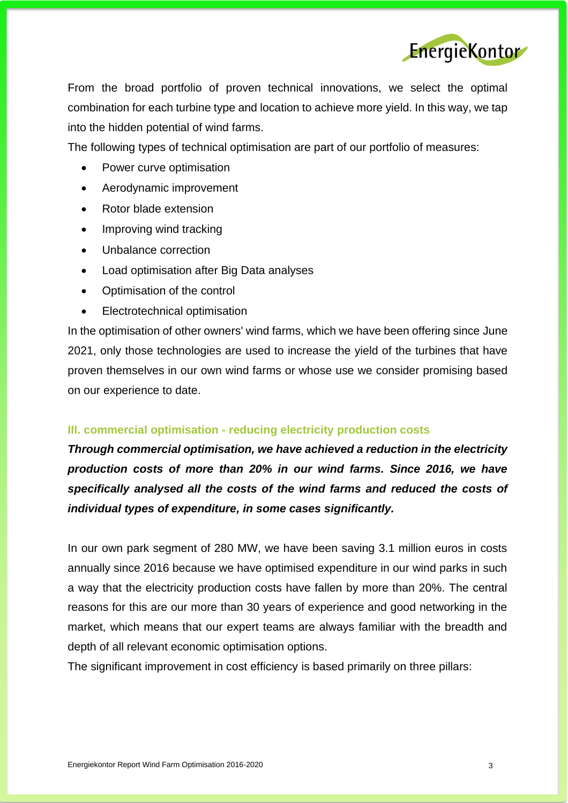

From the broad portfolio of proven technical innovations, we select the optimal combination for each turbine type and location to achieve more yield. In this way, we tap into the hidden potential of wind farms.

The following types of technical optimisation are part of our portfolio of measures:

- Power curve optimisation
- Aerodynamic improvement
- Rotor blade extension
- Improving wind tracking
- Unbalance correction
- Load optimisation after Big Data analyses
- Optimisation of the control
- Electrotechnical optimisation

In the optimisation of other owners' wind farms, which we have been offering since June 2021, only those technologies are used to increase the yield of the turbines that have proven themselves in our own wind farms or whose use we consider promising based on our experience to date.

# **III. commercial optimisation - reducing electricity production costs**

*Through commercial optimisation, we have achieved a reduction in the electricity production costs of more than 20% in our wind farms. Since 2016, we have specifically analysed all the costs of the wind farms and reduced the costs of individual types of expenditure, in some cases significantly.*

In our own park segment of 280 MW, we have been saving 3.1 million euros in costs annually since 2016 because we have optimised expenditure in our wind parks in such a way that the electricity production costs have fallen by more than 20%. The central reasons for this are our more than 30 years of experience and good networking in the market, which means that our expert teams are always familiar with the breadth and depth of all relevant economic optimisation options.

The significant improvement in cost efficiency is based primarily on three pillars: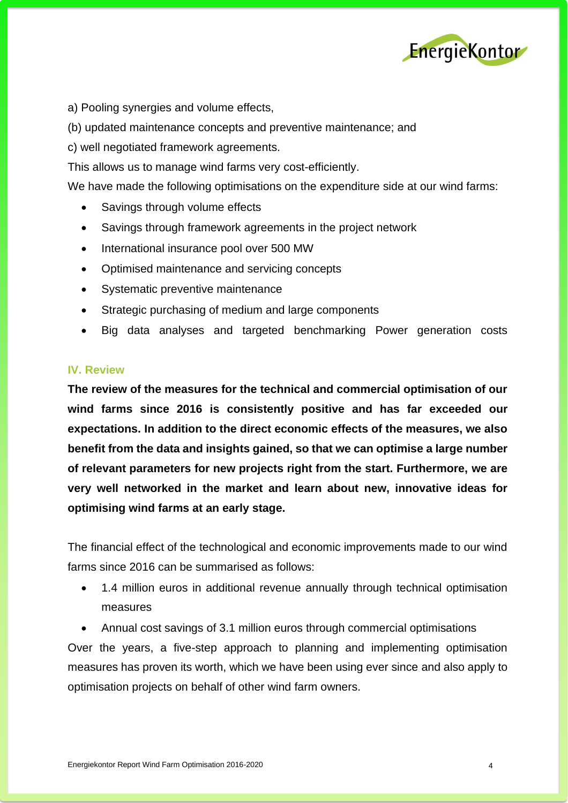

a) Pooling synergies and volume effects,

(b) updated maintenance concepts and preventive maintenance; and

c) well negotiated framework agreements.

This allows us to manage wind farms very cost-efficiently.

We have made the following optimisations on the expenditure side at our wind farms:

- Savings through volume effects
- Savings through framework agreements in the project network
- International insurance pool over 500 MW
- Optimised maintenance and servicing concepts
- Systematic preventive maintenance
- Strategic purchasing of medium and large components
- Big data analyses and targeted benchmarking Power generation costs

## **IV. Review**

**The review of the measures for the technical and commercial optimisation of our wind farms since 2016 is consistently positive and has far exceeded our expectations. In addition to the direct economic effects of the measures, we also benefit from the data and insights gained, so that we can optimise a large number of relevant parameters for new projects right from the start. Furthermore, we are very well networked in the market and learn about new, innovative ideas for optimising wind farms at an early stage.**

The financial effect of the technological and economic improvements made to our wind farms since 2016 can be summarised as follows:

- 1.4 million euros in additional revenue annually through technical optimisation measures
- Annual cost savings of 3.1 million euros through commercial optimisations

Over the years, a five-step approach to planning and implementing optimisation measures has proven its worth, which we have been using ever since and also apply to optimisation projects on behalf of other wind farm owners.